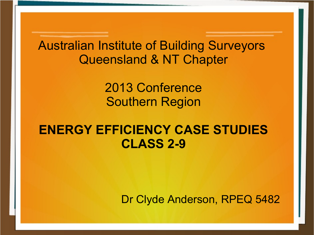#### Australian Institute of Building Surveyors Queensland & NT Chapter

2013 Conference Southern Region

#### **ENERGY EFFICIENCY CASE STUDIES CLASS 2-9**

Dr Clyde Anderson, RPEQ 5482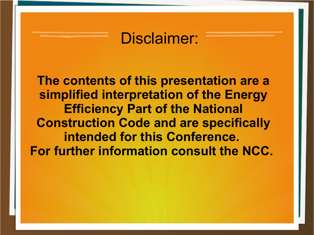#### Disclaimer:

**The contents of this presentation are a simplified interpretation of the Energy Efficiency Part of the National Construction Code and are specifically intended for this Conference. For further information consult the NCC.**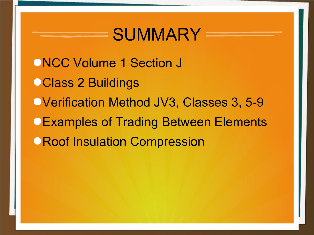#### SUMMARY

●NCC Volume 1 Section J ●Class 2 Buildings ●Verification Method JV3, Classes 3, 5-9 **OExamples of Trading Between Elements ORoof Insulation Compression**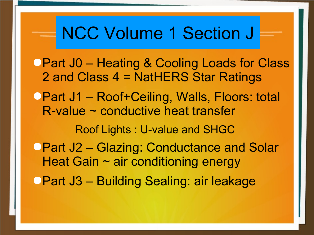### NCC Volume 1 Section J

- **OPart J0 Heating & Cooling Loads for Class** 2 and Class 4 = NatHERS Star Ratings
- ●Part J1 Roof+Ceiling, Walls, Floors: total R-value ~ conductive heat transfer
	- Roof Lights : U-value and SHGC
- ●Part J2 Glazing: Conductance and Solar Heat Gain ~ air conditioning energy ●Part J3 – Building Sealing: air leakage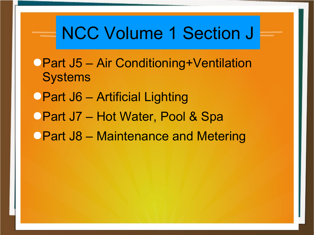### NCC Volume 1 Section J

- Part J5 Air Conditioning+Ventilation **Systems**
- ●Part J6 Artificial Lighting
- ●Part J7 Hot Water, Pool & Spa
- **OPart J8 Maintenance and Metering**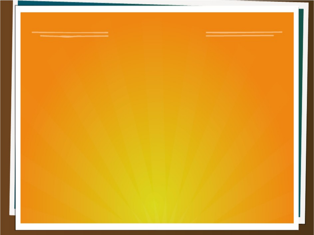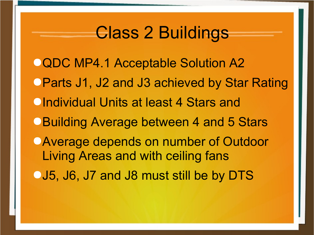#### Class 2 Buildings

● QDC MP4.1 Acceptable Solution A2 **• Parts J1, J2 and J3 achieved by Star Rating OIndividual Units at least 4 Stars and** ●Building Average between 4 and 5 Stars **• Average depends on number of Outdoor** Living Areas and with ceiling fans OJ5, J6, J7 and J8 must still be by DTS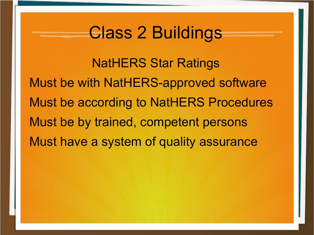#### Class 2 Buildings

NatHERS Star Ratings Must be with NatHERS-approved software Must be according to NatHERS Procedures Must be by trained, competent persons Must have a system of quality assurance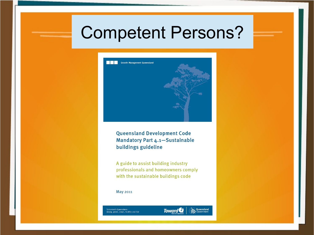#### Competent Persons?



**Queensland Development Code Mandatory Part 4.1-Sustainable** buildings guideline

A guide to assist building industry professionals and homeowners comply with the sustainable buildings code

**May 2011** 

Tomorrow's Queensland:<br>strong, green, smart, healthy and fair



Queensland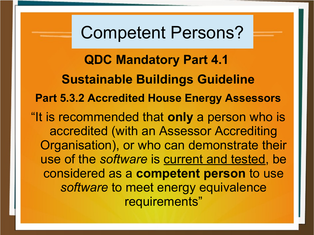#### Competent Persons?

**QDC Mandatory Part 4.1 Sustainable Buildings Guideline Part 5.3.2 Accredited House Energy Assessors** "It is recommended that **only** a person who is accredited (with an Assessor Accrediting Organisation), or who can demonstrate their use of the *software* is current and tested, be considered as a **competent person** to use *software* to meet energy equivalence requirements"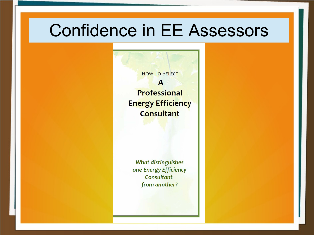#### Confidence in EE Assessors



**What distinguishes** one Energy Efficiency Consultant from another?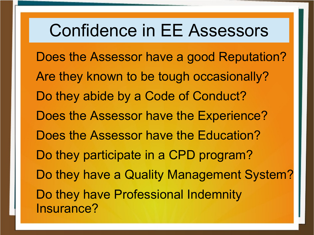### Confidence in EE Assessors

Does the Assessor have a good Reputation? Are they known to be tough occasionally? Do they abide by a Code of Conduct? Does the Assessor have the Experience? Does the Assessor have the Education? Do they participate in a CPD program? Do they have a Quality Management System? Do they have Professional Indemnity Insurance?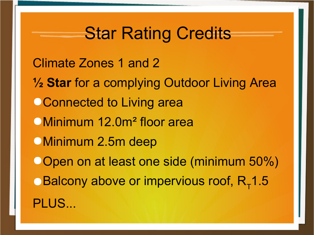# **Star Rating Credits** Climate Zones 1 and 2 **½ Star** for a complying Outdoor Living Area **OConnected to Living area** ●Minimum 12.0m² floor area **•Minimum 2.5m deep** ●Open on at least one side (minimum 50%)  $\bullet$  Balcony above or impervious roof, R<sub>T</sub>1.5 PLUS...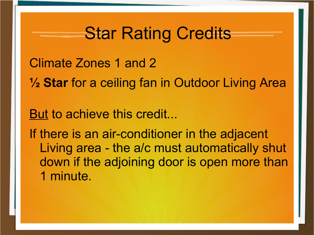#### Star Rating Credits

Climate Zones 1 and 2

**½ Star** for a ceiling fan in Outdoor Living Area

But to achieve this credit...

If there is an air-conditioner in the adjacent Living area - the a/c must automatically shut down if the adjoining door is open more than 1 minute.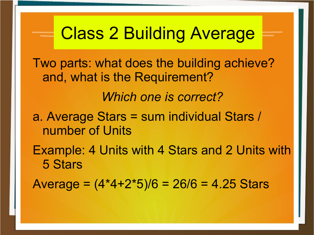#### Class 2 Building Average

Two parts: what does the building achieve? and, what is the Requirement?

*Which one is correct?*

- a. Average Stars = sum individual Stars / number of Units
- Example: 4 Units with 4 Stars and 2 Units with 5 Stars

Average =  $(4*4+2*5)/6 = 26/6 = 4.25$  Stars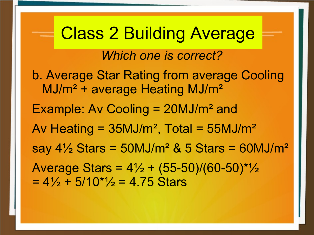Class 2 Building Average *Which one is correct?* b. Average Star Rating from average Cooling MJ/m² + average Heating MJ/m² Example: Av Cooling = 20MJ/m² and Av Heating =  $35$ MJ/m<sup>2</sup>, Total =  $55$ MJ/m<sup>2</sup> say  $4\frac{1}{2}$  Stars = 50MJ/m<sup>2</sup> & 5 Stars = 60MJ/m<sup>2</sup> Average Stars =  $4\frac{1}{2}$  +  $(55-50)/(60-50)$ <sup>\*</sup> $\frac{1}{2}$  $= 4\frac{1}{2} + \frac{5}{10^{*}}\frac{1}{2} = 4.75$  Stars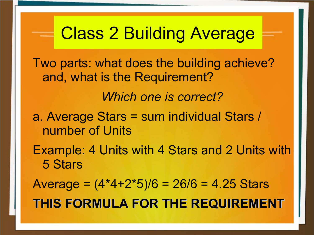#### Class 2 Building Average

Two parts: what does the building achieve? and, what is the Requirement?

*Which one is correct?*

- a. Average Stars = sum individual Stars / number of Units
- Example: 4 Units with 4 Stars and 2 Units with 5 Stars

Average =  $(4*4+2*5)/6 = 26/6 = 4.25$  Stars **THIS FORMULA FOR THE REQUIREMENT**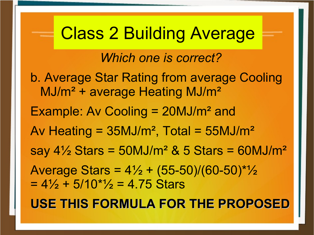#### Class 2 Building Average

#### *Which one is correct?*

b. Average Star Rating from average Cooling MJ/m² + average Heating MJ/m² Example: Av Cooling = 20MJ/m<sup>2</sup> and Av Heating =  $35$ MJ/m<sup>2</sup>, Total =  $55$ MJ/m<sup>2</sup> say  $4\frac{1}{2}$  Stars = 50MJ/m<sup>2</sup> & 5 Stars = 60MJ/m<sup>2</sup> Average Stars =  $4\frac{1}{2}$  +  $(55-50)/(60-50)$ <sup>\*</sup> $\frac{1}{2}$  $= 4\frac{1}{2} + \frac{5}{10^{*}}\frac{1}{2} = 4.75$  Stars **USE THIS FORMULA FOR THE PROPOSED**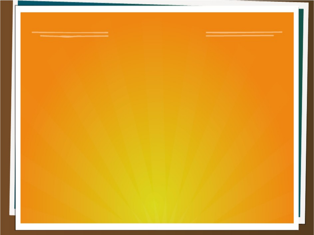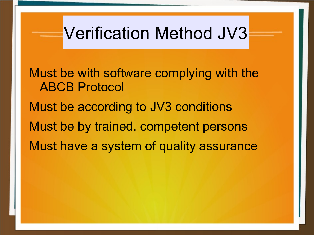### Verification Method JV3

Must be with software complying with the ABCB Protocol Must be according to JV3 conditions Must be by trained, competent persons Must have a system of quality assurance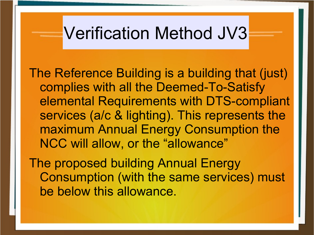### Verification Method JV3

The Reference Building is a building that (just) complies with all the Deemed-To-Satisfy elemental Requirements with DTS-compliant services (a/c & lighting). This represents the maximum Annual Energy Consumption the NCC will allow, or the "allowance"

The proposed building Annual Energy Consumption (with the same services) must be below this allowance.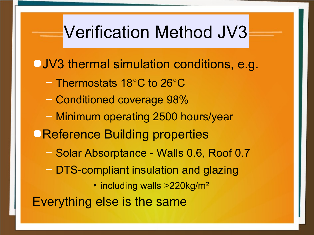## Verification Method JV3

●JV3 thermal simulation conditions, e.g.

- Thermostats 18°C to 26°C
- Conditioned coverage 98%
- Minimum operating 2500 hours/year
- **Reference Building properties** 
	- Solar Absorptance Walls 0.6, Roof 0.7
	- DTS-compliant insulation and glazing
		- including walls >220kg/m<sup>2</sup>
- Everything else is the same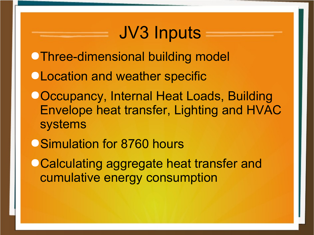### JV3 Inputs

- **OThree-dimensional building model**
- **OLocation and weather specific**
- ●Occupancy, Internal Heat Loads, Building Envelope heat transfer, Lighting and HVAC systems
- **OSimulation for 8760 hours**

●Calculating aggregate heat transfer and cumulative energy consumption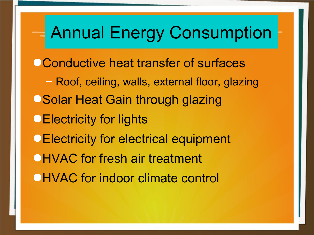### Annual Energy Consumption

- **OConductive heat transfer of surfaces** 
	- Roof, ceiling, walls, external floor, glazing
- **OSolar Heat Gain through glazing**
- **Electricity for lights**
- **Electricity for electrical equipment**
- **OHVAC for fresh air treatment**
- ●HVAC for indoor climate control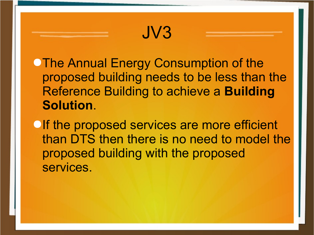#### JV3

**OThe Annual Energy Consumption of the** proposed building needs to be less than the Reference Building to achieve a **Building Solution**.

**Olf the proposed services are more efficient** than DTS then there is no need to model the proposed building with the proposed services.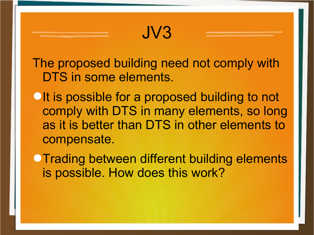#### JV3

The proposed building need not comply with DTS in some elements.

**Olt is possible for a proposed building to not** comply with DTS in many elements, so long as it is better than DTS in other elements to compensate.

**OTrading between different building elements** is possible. How does this work?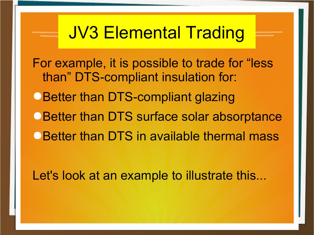#### JV3 Elemental Trading

For example, it is possible to trade for "less than" DTS-compliant insulation for:

**• Better than DTS-compliant glazing** 

**OBetter than DTS surface solar absorptance** 

**OBetter than DTS in available thermal mass** 

Let's look at an example to illustrate this...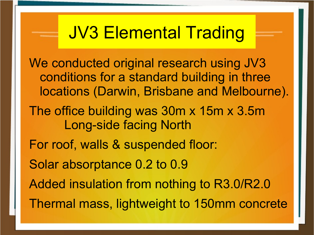### JV3 Elemental Trading

We conducted original research using JV3 conditions for a standard building in three locations (Darwin, Brisbane and Melbourne). The office building was 30m x 15m x 3.5m Long-side facing North For roof, walls & suspended floor: Solar absorptance 0.2 to 0.9 Added insulation from nothing to R3.0/R2.0 Thermal mass, lightweight to 150mm concrete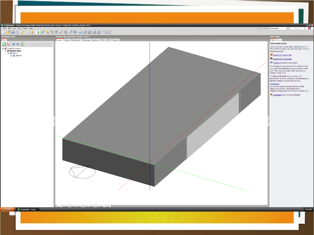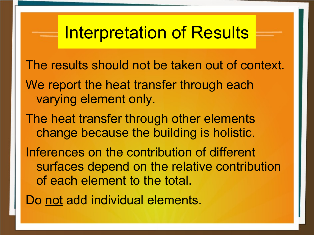#### Interpretation of Results

The results should not be taken out of context.

We report the heat transfer through each varying element only.

The heat transfer through other elements change because the building is holistic.

Inferences on the contribution of different surfaces depend on the relative contribution of each element to the total.

Do not add individual elements.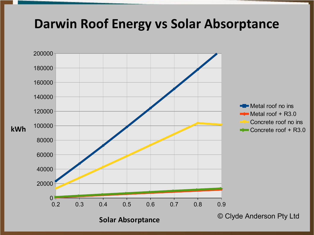#### **Darwin Roof Energy vs Solar Absorptance**

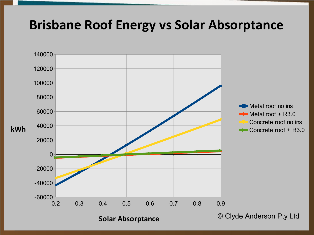#### **Brisbane Roof Energy vs Solar Absorptance**

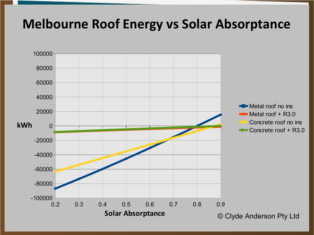#### **Melbourne Roof Energy vs Solar Absorptance**

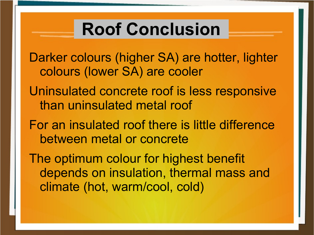### **Roof Conclusion**

Darker colours (higher SA) are hotter, lighter colours (lower SA) are cooler

- Uninsulated concrete roof is less responsive than uninsulated metal roof
- For an insulated roof there is little difference between metal or concrete

The optimum colour for highest benefit depends on insulation, thermal mass and climate (hot, warm/cool, cold)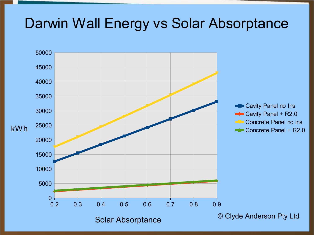#### Darwin Wall Energy vs Solar Absorptance

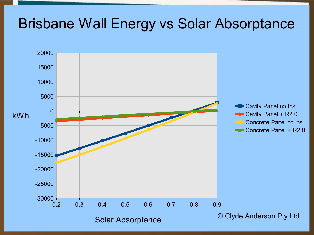#### Brisbane Wall Energy vs Solar Absorptance

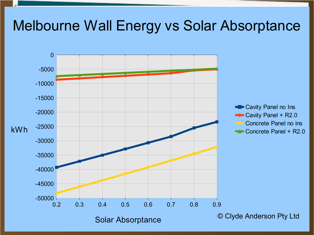#### Melbourne Wall Energy vs Solar Absorptance

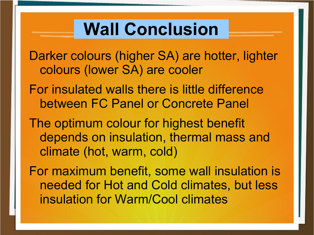### **Wall Conclusion**

Darker colours (higher SA) are hotter, lighter colours (lower SA) are cooler

- For insulated walls there is little difference between FC Panel or Concrete Panel
- The optimum colour for highest benefit depends on insulation, thermal mass and climate (hot, warm, cold)

For maximum benefit, some wall insulation is needed for Hot and Cold climates, but less insulation for Warm/Cool climates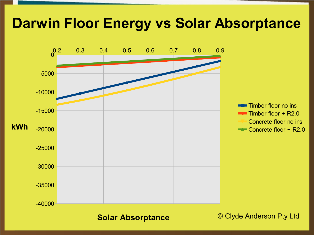#### **Darwin Floor Energy vs Solar Absorptance**



**Solar Absorptance**

© Clyde Anderson Pty Ltd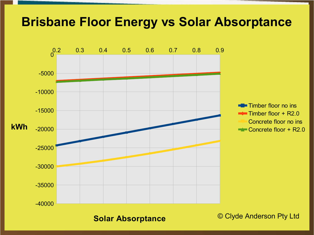#### **Brisbane Floor Energy vs Solar Absorptance**



**Solar Absorptance**

#### © Clyde Anderson Pty Ltd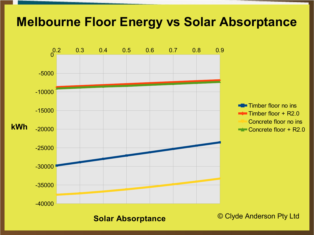#### **Melbourne Floor Energy vs Solar Absorptance**



**Solar Absorptance**

© Clyde Anderson Pty Ltd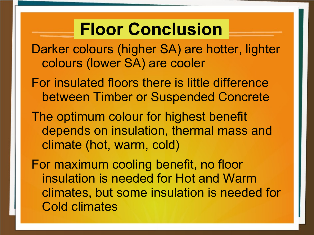### **Floor Conclusion**

Darker colours (higher SA) are hotter, lighter colours (lower SA) are cooler

For insulated floors there is little difference between Timber or Suspended Concrete

The optimum colour for highest benefit depends on insulation, thermal mass and climate (hot, warm, cold)

For maximum cooling benefit, no floor insulation is needed for Hot and Warm climates, but some insulation is needed for Cold climates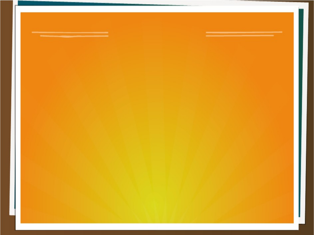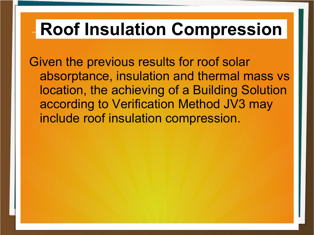### **Roof Insulation Compression**

Given the previous results for roof solar absorptance, insulation and thermal mass vs location, the achieving of a Building Solution according to Verification Method JV3 may include roof insulation compression.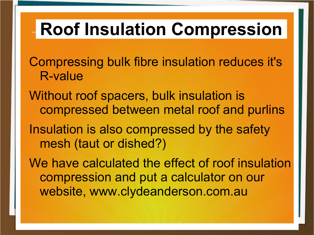## **Roof Insulation Compression**

Compressing bulk fibre insulation reduces it's R-value

Without roof spacers, bulk insulation is compressed between metal roof and purlins

Insulation is also compressed by the safety mesh (taut or dished?)

We have calculated the effect of roof insulation compression and put a calculator on our website, www.clydeanderson.com.au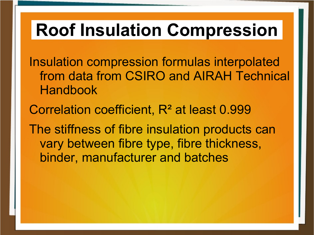### **Roof Insulation Compression**

Insulation compression formulas interpolated from data from CSIRO and AIRAH Technical **Handbook** 

Correlation coefficient, R² at least 0.999

The stiffness of fibre insulation products can vary between fibre type, fibre thickness, binder, manufacturer and batches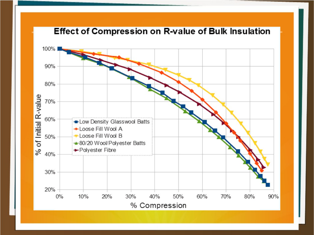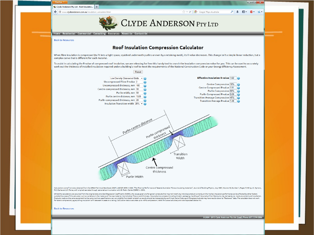Clyde Anderson Pty Ltd - Roof Insulatio... A www.clydeanderson.com.au/insulation calculator.html  $\left\{ \begin{array}{c} \uparrow \\ \end{array} \right\}$   $\left\{ \begin{array}{c} \blacksquare \\ \end{array} \right\}$  + Google Maps Australia **CLYDE ANDERSON PTY LTD** Home Residential Commercial Consulting Resources About Us Contact U **Back to Resources Roof Insulation Compression Calculator** 

When fibre insulation is compressed (to fit into a tight space, squished underneath purlins or even by a retaining mesh), its R-value decreases. This change isn't a simple linear reduction, but a complex curve that is different for each material.

To assist in calculating the R-value of compressed roof insulation, we are releasing for free this handy tool to crunch the insulation compression value for you. This can be used to accurately work out the thickness of installed insulation required under a building's roof to meet the requirements of the National Construction Code or your Energy Efficiency Assessment.



Calculations come from data obtained from the AIRAH Technical Handbook (2007), AS/NZS 4859.1:2002, "The Thermal Performance of Several Australian Fibrous Insulating Materials", Journal of Building Physics, July 1995, Volum R.E. Clarke and J.V. Peirce, with original raw data through personal communication with Dr Robin Clarke (CSIRO) in 2012.

Whilst the calculations are accurate from the original data provided (Regression Coefficient >0.9992), the values given are for generic products that may not match any individual product currently on the market. Insulation outside the scope of this calculator such as variations in the make-up of the raw material, the individual fibre strand thickness, the production process (including binder), packaging, handling of the product from factory for lateral compression, eg squishing insulation to fit between trusses on a ceiling. Calculation data is accurate up to ~85% compression (~60% for Loose Cellulose) and is extrapolated above this.

**Back to Resources** 

Firefox **v** 

 $\begin{array}{c|c|c|c|c} \hline \multicolumn{1}{c|}{\multicolumn{1}{c|}{\multicolumn{1}{c|}{\multicolumn{1}{c|}{\multicolumn{1}{c|}{\multicolumn{1}{c|}{\multicolumn{1}{c|}{\multicolumn{1}{c}}}}}} \hline \multicolumn{1}{c|}{\multicolumn{1}{c|}{\multicolumn{1}{c|}{\multicolumn{1}{c|}{\multicolumn{1}{c|}{\multicolumn{1}{c|}{\multicolumn{1}{c|}{\multicolumn{1}{c|}{\multicolumn{1}{c|}{\multicolumn{1}{c|}{\multicolumn{1}{c|}{\multicolumn{1}{c$ 

画 - 近 -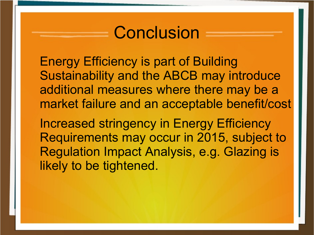#### **Conclusion**

Energy Efficiency is part of Building Sustainability and the ABCB may introduce additional measures where there may be a market failure and an acceptable benefit/cost

Increased stringency in Energy Efficiency Requirements may occur in 2015, subject to Regulation Impact Analysis, e.g. Glazing is likely to be tightened.